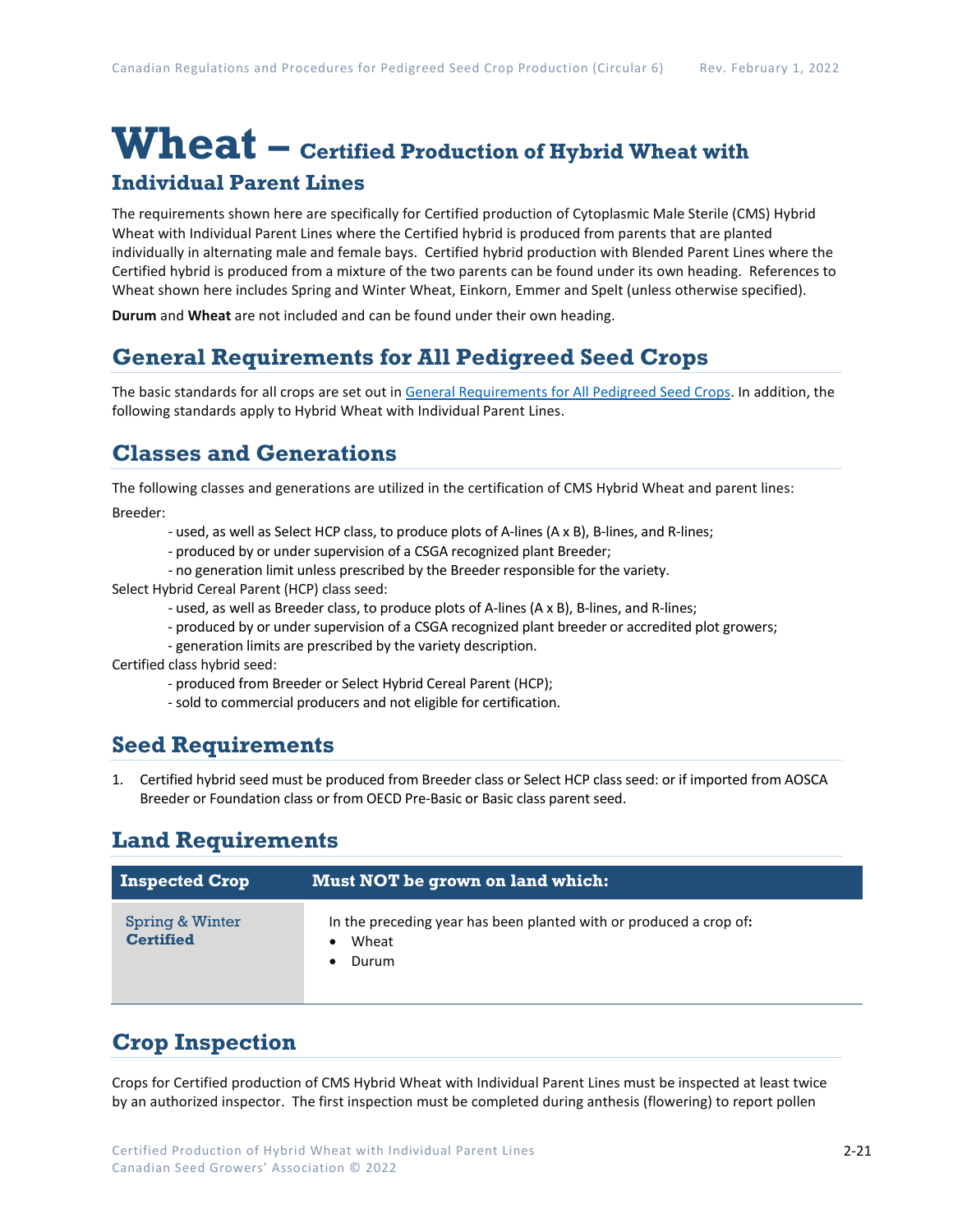# **Wheat – Certified Production of Hybrid Wheat with Individual Parent Lines**

The requirements shown here are specifically for Certified production of Cytoplasmic Male Sterile (CMS) Hybrid Wheat with Individual Parent Lines where the Certified hybrid is produced from parents that are planted individually in alternating male and female bays. Certified hybrid production with Blended Parent Lines where the Certified hybrid is produced from a mixture of the two parents can be found under its own heading. References to Wheat shown here includes Spring and Winter Wheat, Einkorn, Emmer and Spelt (unless otherwise specified).

**Durum** and **Wheat** are not included and can be found under their own heading.

## **General Requirements for All Pedigreed Seed Crops**

The basic standards for all crops are set out i[n General Requirements for All Pedigreed Seed](https://seedgrowers.ca/wp-content/uploads/2020/01/GENERAL-REQUIREMENTS-ALL-CROPS_EN.pdf) Crops. In addition, the following standards apply to Hybrid Wheat with Individual Parent Lines.

## **Classes and Generations**

The following classes and generations are utilized in the certification of CMS Hybrid Wheat and parent lines:

Breeder:

- used, as well as Select HCP class, to produce plots of A-lines (A x B), B-lines, and R-lines;
- produced by or under supervision of a CSGA recognized plant Breeder;
- no generation limit unless prescribed by the Breeder responsible for the variety.
- Select Hybrid Cereal Parent (HCP) class seed:
	- used, as well as Breeder class, to produce plots of A-lines (A x B), B-lines, and R-lines;
	- produced by or under supervision of a CSGA recognized plant breeder or accredited plot growers;
	- generation limits are prescribed by the variety description.

Certified class hybrid seed:

- produced from Breeder or Select Hybrid Cereal Parent (HCP);
- sold to commercial producers and not eligible for certification.

#### **Seed Requirements**

1. Certified hybrid seed must be produced from Breeder class or Select HCP class seed: or if imported from AOSCA Breeder or Foundation class or from OECD Pre-Basic or Basic class parent seed.

## **Land Requirements**

| <b>Inspected Crop</b>               | Must NOT be grown on land which:                                                     |
|-------------------------------------|--------------------------------------------------------------------------------------|
| Spring & Winter<br><b>Certified</b> | In the preceding year has been planted with or produced a crop of:<br>Wheat<br>Durum |

## **Crop Inspection**

Crops for Certified production of CMS Hybrid Wheat with Individual Parent Lines must be inspected at least twice by an authorized inspector. The first inspection must be completed during anthesis (flowering) to report pollen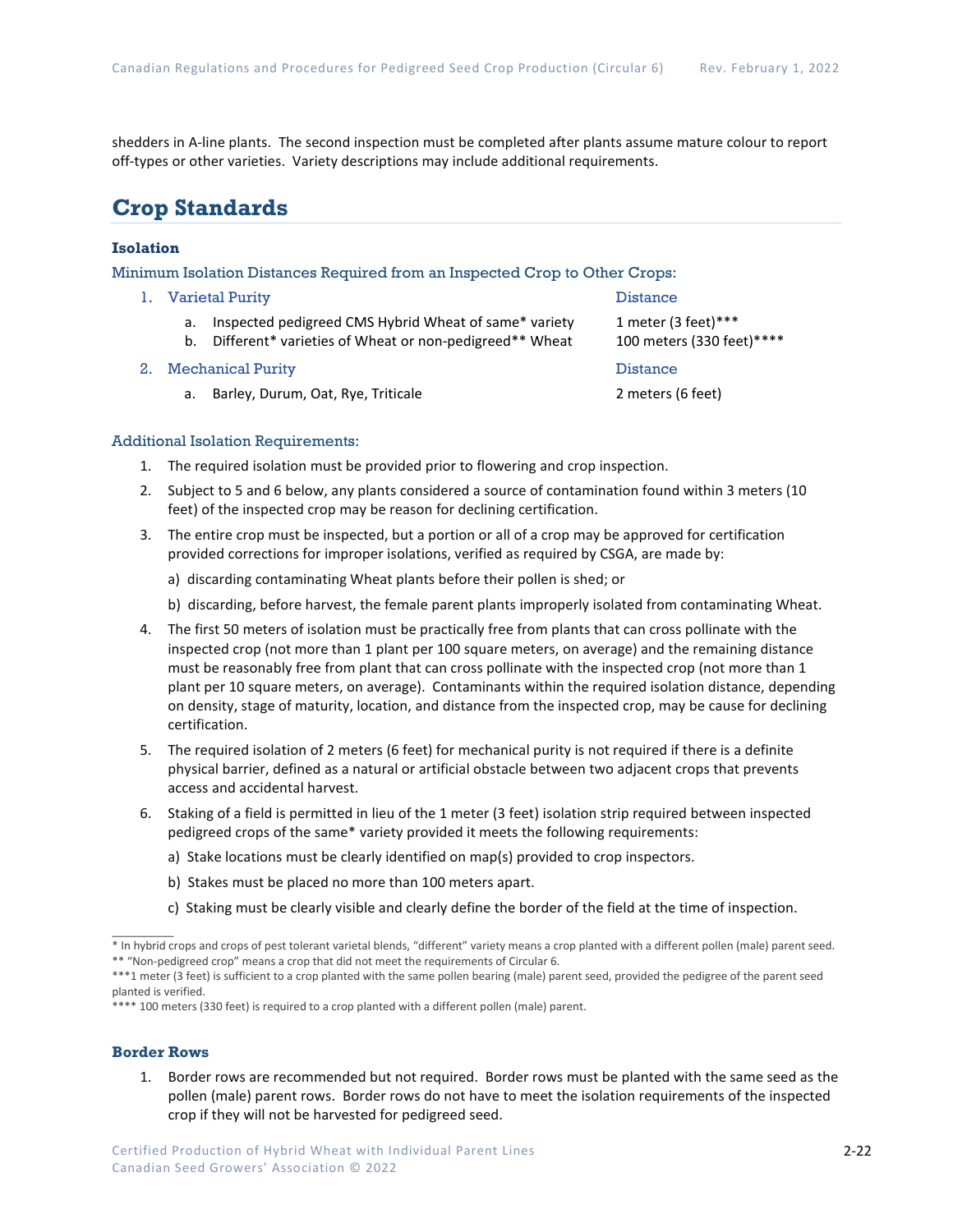shedders in A-line plants. The second inspection must be completed after plants assume mature colour to report off-types or other varieties. Variety descriptions may include additional requirements.

### **Crop Standards**

#### **Isolation**

Minimum Isolation Distances Required from an Inspected Crop to Other Crops:

- 1. Varietal Purity **Distance** 
	- a. Inspected pedigreed CMS Hybrid Wheat of same\* variety 1 meter (3 feet)\*\*\*
	- b. Different\* varieties of Wheat or non-pedigreed\*\* Wheat 100 meters (330 feet)\*\*\*\*
- 2. Mechanical Purity Distance
	- a. Barley, Durum, Oat, Rye, Triticale 2 meters (6 feet)

Additional Isolation Requirements:

- 1. The required isolation must be provided prior to flowering and crop inspection.
- 2. Subject to 5 and 6 below, any plants considered a source of contamination found within 3 meters (10 feet) of the inspected crop may be reason for declining certification.
- 3. The entire crop must be inspected, but a portion or all of a crop may be approved for certification provided corrections for improper isolations, verified as required by CSGA, are made by:
	- a) discarding contaminating Wheat plants before their pollen is shed; or
	- b) discarding, before harvest, the female parent plants improperly isolated from contaminating Wheat.
- 4. The first 50 meters of isolation must be practically free from plants that can cross pollinate with the inspected crop (not more than 1 plant per 100 square meters, on average) and the remaining distance must be reasonably free from plant that can cross pollinate with the inspected crop (not more than 1 plant per 10 square meters, on average). Contaminants within the required isolation distance, depending on density, stage of maturity, location, and distance from the inspected crop, may be cause for declining certification.
- 5. The required isolation of 2 meters (6 feet) for mechanical purity is not required if there is a definite physical barrier, defined as a natural or artificial obstacle between two adjacent crops that prevents access and accidental harvest.
- 6. Staking of a field is permitted in lieu of the 1 meter (3 feet) isolation strip required between inspected pedigreed crops of the same\* variety provided it meets the following requirements:
	- a) Stake locations must be clearly identified on map(s) provided to crop inspectors.
	- b) Stakes must be placed no more than 100 meters apart.
	- c) Staking must be clearly visible and clearly define the border of the field at the time of inspection.

\*\*\*\* 100 meters (330 feet) is required to a crop planted with a different pollen (male) parent.

#### **Border Rows**

 $\overline{\phantom{a}}$ 

1. Border rows are recommended but not required. Border rows must be planted with the same seed as the pollen (male) parent rows. Border rows do not have to meet the isolation requirements of the inspected crop if they will not be harvested for pedigreed seed.

<sup>\*</sup> In hybrid crops and crops of pest tolerant varietal blends, "different" variety means a crop planted with a different pollen (male) parent seed. \*\* "Non-pedigreed crop" means a crop that did not meet the requirements of Circular 6.

<sup>\*\*\*1</sup> meter (3 feet) is sufficient to a crop planted with the same pollen bearing (male) parent seed, provided the pedigree of the parent seed planted is verified.